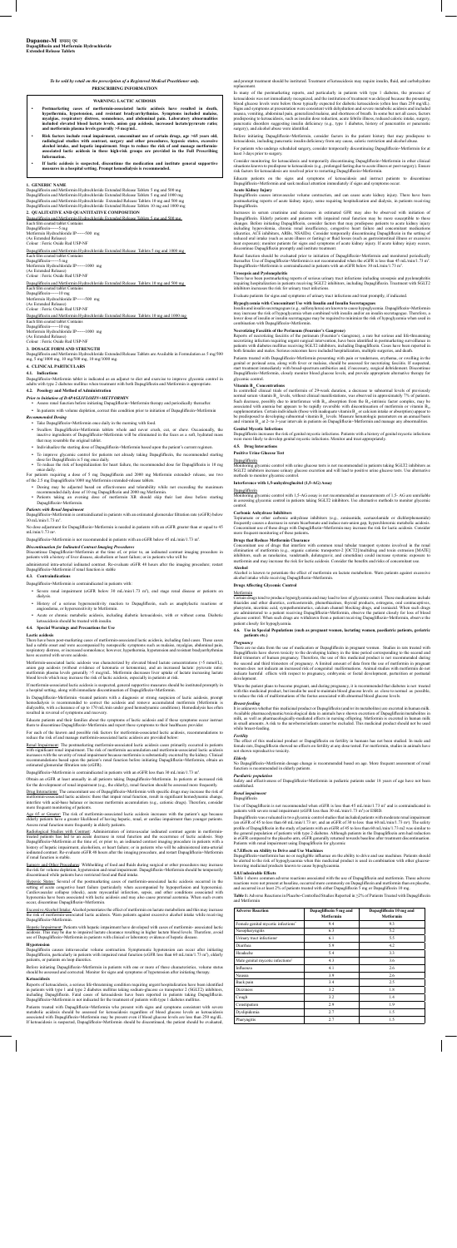## *To be sold by retail on the prescription of a Registered Medical Practitioner only.* **PRESCRIBING INFORMATION**

#### **1. GENERIC NAME**

Dapagliflozin and Metformin Hydrochloride Extended Release Tablets 5 mg and 500 mg<br>Dapagliflozin and Metformin Hydrochloride Extended Release Tablets 5 mg and 1000 mg<br>Dapagliflozin and Metformin Hydrochloride Extended Rele Dapagliflozin and Metformin Hydrochloride Extended Release Tablets 10 mg and 1000 mg

**2. QUALITATIVE AND QUANTITATIVE COMPOSITION**  Dapagliflozin and Metformin Hydrochloride Extended Rel Each film coated tablet Contains

Dapagliflozin------5 mg Metformin Hydrochloride IP------500 mg (As Extended Release) Colour : Ferric Oxide Red USP-NF

Dapagliflozin and Metformin Hydrochloride Extended Release Tablets 5 mg and 1000 mg Each film coated tablet Contains Dapagliflozin------5 mg Metformin Hydrochloride IP------1000 mg

(As Extended Release)

Colour : Ferric Oxide Red USP-NF

Dapagliflozin and Metformin Hydrochloride Extended Release Tablets 10 mg and 500 mg Each film coated tablet Contains

Dapagliflozin------10 mg Metformin Hydrochloride IP------500 mg

(As Extended Release) Colour : Ferric Oxide Red USP-NF

Dapagliflozin and Metformin Hydrochloride Extended Release Tablets 10 mg and 1000 mg Each film coated tablet Contains

Dapagliflozin------10 mg Metformin Hydrochloride IP------1000 mg

(As Extended Release) Colour : Ferric Oxide Red USP-NF

- **Recommended Dosing**<br>
Take Dapagliflozin+Metformin once daily in the morning with food.
- Swallow Dapagliflozin+Metformin tablets whole and never crush, cut, or chew. Occasionally, the inactive ingredients of Dapagliflozin+Metformin will be eliminated in the feces as a soft, hydrated mass that may resemble the original tablet.
- Individualize the starting dose of Dapagliflozin+Metformin based upon the patient's current regimen. **•** To improve glycemic control for patients not already taking Dapagliflozin, the recommended starting
- dose for Dapagliflozin is 5 mg once daily. To reduce the risk of hospitalization for heart failure, the recommended dose for Dapagliflozin is 10 mg
- once daily.

# **3. DOSAGE FORM AND STRENGTH**

Dapagliflozin and Metformin Hydrochloride Extended Release Tablets are Available in Formulation as 5 mg/500 mg, 5 mg/1000 mg, 10 mg/500 mg, 10 mg/1000 mg.

### **4. CLINICAL PARTICULARS**

### **4.1. Indications**

No dose adjustment for Dapagliflozin+Metformin is needed in patients with an eGFR greater than or equal to 45 mL/min/1.73 m<sup>2</sup>.

Dapagliflozin+Metformin tablet is indicated as an adjunct to diet and exercise to improve glycemic control in adults with type 2 diabetes mellitus when treatment with both Dapagliflozin and Metformin is appropriate.

Dapagliflozin+Metformin is not recommended in patients with an eGFR below 45 mL/min/1.73 m<sup>2</sup> .

# **4.2. Posology and Method of Administration** *Prior to Initiation of DAPAGLIFLOZIN+METFORMIN*

**•** Assess renal function before initiating Dapagliflozin+Metformin therapy and periodically thereafter.

nistered intra-arterial iodinated contrast. Re-evaluate eGFR 48 hours after the imaging procedure; restart Dapagliflozin+Metformin if renal function is stable

**•** In patients with volume depletion, correct this condition prior to initiation of Dapagliflozin+Metformin

- Severe renal impairment (eGFR below 30 mL/min/1.73 m<sup>2</sup>), end stage renal disease or patients on dialysis.
- History of a serious hypersensitivity reaction to Dapagliflozin, such as anaphylactic reactions or angioedema, or hypersensitivity to Metformin.
- Acute or chronic metabolic acidosis, including diabetic ketoacidosis, with or without coma. Diabetic ketoacidosis should be treated with insulin.

For patients requiring a dose of 5 mg Dapagliflozin and 2000 mg Metformin extended- release, use two of the 2.5 mg Dapagliflozin/1000 mg Metformin extended-release tablets.

- Dosing may be adjusted based on effectiveness and tolerability while not exceeding the maximum<br>recommended daily dose of 10 mg Dapagliflozin and 2000 mg Metformin.<br>Patients taking an evening dose of metformin XR should s
- 

In Dapagliflozin+Metformin -treated patients with a diagnosis or strong suspicion of lactic acidosis, prompt bemodialy is recommended to correct the acidosis and remove accumulated metformin (Metformin is odialysis is recommended to correct the acidosis and remove accum le, with a clearance of up to 170 mL/min under good hemodynamic conditions). Hemodialysis has often resulted in reversal of symptoms and recovery.

# *Patients with Renal Impairment*

Dapagliflozin+Metformin is contraindicated in patients with an estimated glomerular filtration rate (eGFR) below 30 mL/min/1.73 m2 .

Renal Impairment: The postmarketing metformin-associated lactic acidosis cases primarily occurred in patients<br>with significant renal impairment. The risk of metformin accumulation and metformin-associated lactic acidosis with significant renal impairment. The risk of metformin accumulation and metformin-associated lactic acidosis<br>increases with the severity of renal impairment because metformin is substantially excreted by the kidney. Clin estimated glomerular filtration rate (eGFR).

Dapagliflozin+Metformin is contraindicated in patients with an eGFR less than 30 mL/min/1.73 m<sup>2</sup>.

### *Discontinuation for Iodinated Contrast Imaging Procedures*

Discontinue Dapagliflozin+Metformin at the time of, or prior to, an iodinated contrast imaging procedure in patients with a history of liver disease, alcoholism or heart failure; or in patients who will be

Age 65 or Greater: The risk of metformin-associated lactic acidosis increases with the natient's age because elderly patients have a greater likelihood of having hepatic, renal, or cardiac impairment than younger patients. Assess renal function more frequently in elderly patients.

### **4.3. Contraindications**

Dapagliflozin+Metformin is contraindicated in patients with:

# **4.4. Special Warnings and Precautions for Use**

**Lactic acidosis**<br>There have been post-marketing cases of metformin-associated lactic acidosis, including fatal cases. These cases<br>had a subtle onset and were accompanied by nonspecific symptoms such as malaise, myalgias, respiratory distress, or increased somnolence; however, hypothermia, hypotension and resistant bradyarrhythmias ve occurred with severe acidosis.

Excessive Alcohol Intake: Alcohol potentiates the effect of metformin on lactate metabolism and this may increase<br>the risk of metformin-associated lactic acidosis. Warn patients against excessive alcohol intake while recei Dapagliflozin+Metformin.

Hepatic Impairment: Patients with hepatic impairment have developed with cases of metformin- associated lactic<br>acidosis. This may be due to impaired lactate clearance resulting in higher lactate blood levels. Therefore, av

Metformin-associated lactic acidosis was characterized by elevated blood lactate concentrations (>5 mmol/L), anion gap acidosis (without evidence of ketonuria or ketonemia), and an increased lactate: pyruvate ratio; metformin plasma levels generally >5 mcg/mL. Metformin decreases liver uptake of lactate increasing lactate blood levels which may increase the risk of lactic acidosis, especially in patients at risk.

If metformin-associated lactic acidosis is suspected, general supportive measures should be instituted promptly in a hospital setting, along with immediate discontinuation of Dapagliflozin+Metformin.

and prompt treatment should be instituted. Treatment of ketoacidosis may require insulin, fluid, and carbohydrate replaceme

In many of the postmarketing reports, and particularly in patients with type 1 diabetes, the presence of<br>ketoacidosis was not immediately recognized, and the institution of treatment was delayed because the presenting<br>bloo Signs and symptoms at presentation were consistent with dehydration and severe metabolic acidosis and included nausea, vomiting, abdominal pain, generalized malaise, and shortness of breath. In some but not all cases, factors predisposing to ketoacidosis, such as insulin dose reduction, acute febrile illness, reduced caloric intake

Educate patients and their families about the symptoms of lactic acidosis and if these symptoms occur instruct them to discontinue Dapagliflozin+Metformin and report these symptoms to their healthcare provider.

For each of the known and possible risk factors for metformin-associated lactic acidosis, recommendations to the known and possible risk factors for metformin-associated lactic acidosis, recommendations to reduce the risk of and manage metformin-associated lactic acidosis are provided below:

Educate patients on the signs and symptoms of ketoacidosis and instruct patients to discontinue Dapagliflozin+Metformin and seek medical attention immediately if signs and symptoms occur

Increases in serum creatinine and decreases in estimated GFR may also be observed with initiation of<br>Dapagliflozin. Elderly patients and patients with impaired renal function may be more susceptible to these<br>changes. Befor including hypovolemia, chronic renal insufficiency, congestive heart failure and concomitant medications<br>(diuretics, ACE inhibitors, ARBs, NSAIDs). Consider temporarily discontinuing Dapagliflozin in the setting of<br>reduced heat exposure); monitor patients for signs and symptoms of acute kidney injury. If acute kidney injury occurs, discontinue Dapagliflozin promptly and institute treatment.

Renal function should be evaluated prior to initiation of Dapagliflozin+Metformin and monitored periodically thereafter. Use of Dapagliflozin+Metformin is not recommended when the eGFR is less than 45 mL/min/1.73 m2 . Dapagliflozin+Metformin is contraindicated in patients with an eGFR below 30 mL/min/1.73 m<sup>2</sup>.

Obtain an eGFR at least annually in all patients taking Dapagliflozin+Metformin. In patients at increased risk for the development of renal impairment (e.g., the elderly), renal function should be assessed more frequently.

There have been postmarketing reports of serious urinary tract infections including urosepsis and pyelonephritis<br>requiring hospitalization in patients receiving SGLT2 inhibitors, including Dapagliflozin. Treatment with SGL inhibitors increases the risk for urinary tract infections.

Drug Interactions: The concomitant use of Dapagliflozin+Metformin with specific drugs may increase the risk of metformin-associated lactic acidosis: those that impair renal function, result in significant hemodynamic change,<br>interfere with acid-base balance or increase metformin accumulation (e.g., cationic drugs). Therefore, consi more frequent monitoring of patients.

**Hypoglycemia with Concomitant Use with Insulin and Insulin Secretagogues**<br>Insulin and insulin secretagogues (e.g., sulfonylurea) are known to cause hypoglycemia. Dapagliflozin+Metformin may increase the risk of hypoglycemia when combined with insulin and/or an insulin secretagogue. Therefore, a<br>lower dose of insulin or insulin secretagogue may be required to minimize the risk of hypoglycemia when used in lower dose of insulin or insulin secretagogue may be required to minimize the risk of hypoglycemia when used in combination with Dapagliflozin+Metformin.

Reports of necrotizing fascuitis of the perineum (Fournier's Gangrene), a rare but serious and life-threatening<br>necrotizing infection requiring urgent surgical intervention, have been identified in postmarketing surveillan both females and males. Serious outcomes have included hospitalization, multiple surgeries, and death.

Radiological Studies with Contrast: Administration of intravascular iodinated contrast agents in metformintreated patients has led to an acute decrease in renal function and the occurrence of lactic acidosis. Stop Dapagliflozin+Metformin at the time of, or prior to, an iodinated contrast imaging procedure in patients with a<br>history of hepatic impairment, alcoholism, or heart failure; or in patients who will be administered intra-art iodinated contrast. Re-evaluate eGFR 48 hours after the imaging procedure, and restart Dapagliflozin+Metformin if renal function is stable.

**Vitamin B<sub>12</sub> Concentrations**<br>In controlled clinical trials of metformin of 29-week duration, a decrease to subnormal levels of previously normal serum vitamin  $B_{12}$  levels, without clinical manifestations, was observed in approximately 7% of patients.<br>Such decrease, possibly due to interference with  $B_{12}$  absorption from the  $B_{12}$ -intrinsic factor com be predisposed to developing subnormal vitamin B<sub>12</sub> levels. Measure hematologic parameters on an annual basis<br>and vitamin B<sub>12</sub> at 2- to 3-year intervals in patients on Dapagliflozin+Metformin and manage any abnormalities **Genital Mycotic Infections**

Surgery and Other Procedures: Withholding of food and fluids during surgical or other procedures may increase the risk for volume depletion, hypotension and renal impairment. Dapagliflozin+Metformin should be temporarily discontinued while patients have restricted food and fluid intake.

Hypoxic States: Several of the postmarketing cases of metformin-associated lactic acidosis occurred in the setting of acute congestive heart failure (particularly when accompanied by hypoperfusion and hypoxemia).<br>Cardiovascular collapse (shock), acute myocardial infarction, sepsis, and other conditions associated with<br>hypoxemia occur, discontinue Dapagliflozin+Metformin.

Topiramate or other carbonic anhydrase inhibitors (e.g., zonisamide, acetazolamide or dichlorphenamide)<br>frequently causes a decrease in serum bicarbonate and induce non-anion gap, hyperchloremic metabolic acidosis.<br>Concomi more frequent monitoring of these patients**.**

#### **Hypotension**

Dapagliflozin causes intravascular volume contraction. Symptomatic hypotension can occur after initiating<br>Dapagliflozin, particularly in patients with impaired renal function (eGFR less than 60 mL/min/1.73 m<sup>2</sup>), elderly<br>p

Before initiating Dapagliflozin+Metformin in patients with one or more of these characteristics, volume status should be assessed and corrected. Monitor for signs and symptoms of hypotension after initiating therapy.

When the patient plans to become pregnant, and during pregnancy, it is recommended that diabetes is not treated<br>with this medicinal product, but insulin be used to maintain blood glucose levels as close to normal as possib to reduce the risk of malformations of the foetus associated with abnormal blood glucose levels.

**Ketoacidosis**  $ng$  condition requiring urgent hospitalization have been identified in patients with type 1 and type 2 diabetes mellitus taking sodium-glucose co transporter 2 (SGLT2) inhibitors, including Dapagliflozin. Fatal cases of ketoacidosis have been reported in patients taking Dapagliflozin. Dapagliflozin+Metformin is not indicated for the treatment of patients with type 1 diabetes mellitus.

Patients treated with Dapagliflozin+Metformin who present with signs and symptoms consistent with severe metabolic acidosis should be assessed for ketoacidosis regardless of blood glucose levels as ketoacidosis associated with Dapagliflozin+Metformin may be present even if blood glucose levels are less than 250 mg/dL. If ketoacidosis is suspected, Dapagliflozin+Metformin should be discontinued, the patient should be evaluated, **Table 1:** Adverse Reactions in Placebo-Controlled Studies Reported in ≥2% of Patients Treated with Dapagliflozin and Metform

Before initiating Dapagliflozin+Metformin, consider factors in the patient history that may predispose to ketoacidosis, including pancreatic insulin deficiency from any cause, caloric restriction and alcohol abuse.

For patients who undergo scheduled surgery, consider temporarily discontinuing Dapagliflozin+Metformin for at least 3 days prior to surgery.

Consider monitoring for ketoacidosis and temporarily discontinuing Dapagliflozin+Metformin in other clinical<br>situations known to predispose to ketoacidosis (e.g., prolonged fasting due to acute illness or post-surgery). E

# **Acute Kidney Injury**

Dapagliflozin causes intravascular volume contraction, and can cause acute kidney injury. There have been postmarketing reports of acute kidney injury, some requiring hospitalization and dialysis, in patients receiving Dapagliflozin.

#### **Urosepsis and Pyelonephritis**

Evaluate patients for signs and symptoms of urinary tract infections and treat promptly, if indicated.

# **Necrotizing Fasciitis of the Perineum (Fournier's Gangrene)**

Patients treated with Dapagliflozin+Metformin presenting with pain or tenderness, erythema, or swelling in the genital or perineal area, along with fever or malaise, should be assessed for necrotizing fasciitis. If suspected,<br>start treatment immediately with broad-spectrum antibiotics and, if necessary, surgical debridement. Discon glycemic control.

Dapagliflozin increases the risk of genital mycotic infections. Patients with a history of genital mycotic infections were more likely to develop genital mycotic infections. Monitor and treat appropriately.

#### **4.5. Drug Interactions**

**Positive Urine Glucose Test**

## Dapagliflozin

Monitoring glycemic control with urine glucose tests is not recommended in patients taking SGLT2 inhibitors as SGLT2 inhibitors increase urinary glucose excretion and will lead to positive urine glucose tests. Use alternative methods to monitor glycemic control.

# **Interference with 1,5-anhydroglucitol (1,5-AG) Assay**

Dapagliflozin

Monitoring glycemic control with 1,5-AG assay is not recommended as measurements of 1,5- AG are unreliable in assessing glycemic control in patients taking SGLT2 inhibitors. Use alternative methods to monitor glycemic control.

#### **Carbonic Anhydrase Inhibitors**

## **Drugs that Reduce Metformin Clearance**

Concomitant use of drugs that interfere with common renal tubular transport systems involved in the renal<br>elimination of metformin (e.g., organic cationic transporter-2 [OCT2]/multidrug and toxin extrusion [MATE]<br>inhibitor metformin and may increase the risk for lactic acidosis. Consider the benefits and risks of concomitant use.

**Alcohol**

Alcohol is known to potentiate the effect of metformin on lactate metabolism. Warn patients against excessive alcohol intake while receiving Dapagliflozin+Metformin.

# **Drugs Affecting Glycemic Control**

# Metformin

Certain drugs tend to produce hyperglycemia and may lead to loss of glycemic control. These medications include thiazides and other diuretics, corticosteroids, phenothiazines, thyroid products, estrogens, oral contraceptives, phenytoin, nicotinic acid, sympathomimetics, calcium channel blocking drugs, and isoniazid. When such drugs<br>are administered to a patient receiving Dapagliflozin+Metformin, observe the patient closely for loss of blood<br>glu patient closely for hypoglycemia.

# **4.6. Use in Special Populations (such as pregnant women, lactating women, paediatric patients, geriatric patients etc.)**

#### *Pregnancy*

There are no data from the use of medication or Dapagliflozin in pregnant women. Studies in rats treated with Dapagliflozin have shown toxicity to the developing kidney in the time period corresponding to the second and<br>third trimesters of human pregnancy. Therefore, the use of this medicinal product is not recommended during<br>the indicate harmful effects with respect to pregnancy, embryonic or foetal development development.

*Breast-feeding* It is unknown whether this medicinal product or Dapagliflozin (and/or its metabolites) are excreted in human milk. Available pharmacodynamic/toxicological data in animals have shown excretion of Dapagliflozin/metabolites in<br>milk, as well as pharmacologically-mediated effects in nursing offspring. Metformin is excreted in human milk<br>in while breast-feeding.

#### *Fertility*

The effect of this medicinal product or Dapagliflozin on fertility in humans has not been studied. In male and female rats, Dapagliflozin showed no effects on fertility at any dose tested. For metformin, studies in an not shown reproductive toxicity.

#### *Elderly*

No Dapagliflozin+Metformin dosage change is recommended based on age. More frequent assessment of renal function is recommended in elderly patients.

# *Paediatric population*

Safety and effectiveness of Dapagliflozin+Metformin in pediatric patients under 18 years of age have not been established.

# *Renal impairment* Dapagliflozin

Use of Dapagliflozin is not recommended when eGFR is less than  $45 \text{ mL/min}/1.73 \text{ m}^2$  and is contraindicated in patients with severe renal impairment (eGFR less than 30 mL/min/1.73 m<sup>2</sup>) or ESRD.

Dapagliflozin was evaluated in two glycemic control studies that included patients with moderate renal impairment<br>(an eGFR of 45 to less than 60 mL/min/1.73 m<sup>2</sup>, and an eGFR of 30 to less than 60 mL/min/1.73 m<sup>2</sup>). The sa profile of Dapagliflozin in the study of patients with an eGFR of 45 to less than 60 mL/min/1.73 m2 was similar to the general population of patients with type 2 diabetes. Although patients in the Dapagliflozin arm had reduction<br>in eGFR compared to the placebo arm, eGFR generally returned towards baseline after treatment discontinuatio

## **4.7.Effects on Ability to Drive and Use Machines**

Dapagliflozin+metformin has no or negligible influence on the ability to drive and use machines. Patients should be alerted to the risk of hypoglycaemia when this medicinal product is used in combination with other glucoselowering medicinal products known to cause hypoglycaemia.

### **4.8.Undesirable Effects**

Table 1 shows common adverse reactions associated with the use of Dapagliflozin and metformin. These adverse reactions were not present at baseline, occurred more commonly on Dapagliflozin and metformin than on placebo, and occurred in at least 2% of patients treated with either Dapagliflozin 5 mg or Dapagliflozin 10 mg.

| <b>Adverse Reaction</b>                      | Dapagliflozin 5 mg and<br><b>Metformin</b> | Dapagliflozin 10 mg and<br><b>Metformin</b> |
|----------------------------------------------|--------------------------------------------|---------------------------------------------|
| Female genital mycotic infections*           | 9.4                                        | 9.3                                         |
| Nasopharyngitis                              | 6.3                                        | 5.2                                         |
| Urinary tract infections <sup>†</sup>        | 6.1                                        | 5.5                                         |
| Diarrhea                                     | 5.9                                        | 4.2                                         |
| Headache                                     | 5.4                                        | 3.3                                         |
| Male genital mycotic infections <sup>†</sup> | 4.3                                        | 3.6                                         |
| Influenza                                    | 4.1                                        | 2.6                                         |
| Nausea                                       | 3.9                                        | 2.6                                         |
| Back pain                                    | 3.4                                        | 2.5                                         |
| <b>Dizziness</b>                             | 3.2                                        | 1.8                                         |
| Cough                                        | 3.2                                        | 1.4                                         |
| Constipation                                 | 2.9                                        | 1.9                                         |
| Dyslipidemia                                 | 2.7                                        | 1.5                                         |
| Pharyngitis                                  | 2.7                                        | 1.5                                         |

#### **WARNING: LACTIC ACIDOSIS**

- **• Postmarketing cases of metformin-associated lactic acidosis have resulted in death,**  hypothermia, hypotension, and resistant bradyarrhythmias. Symptoms included malaise,<br>myalgias, respiratory distress, somnolence, and abdominal pain. Laboratory abnormalities<br>included elevated blood lactate levels, anion ga
- Risk factors include renal impairment, concomitant use of certain drugs, age >65 years old, radiological studies with contrast, surgery and other procedures, hypoxic states, excessive alcohol intake, and hepatic impairme **Information.**
- **• If lactic acidosis is suspected, discontinue the medication and institute general supportive measures in a hospital setting. Prompt hemodialysis is recommended.**